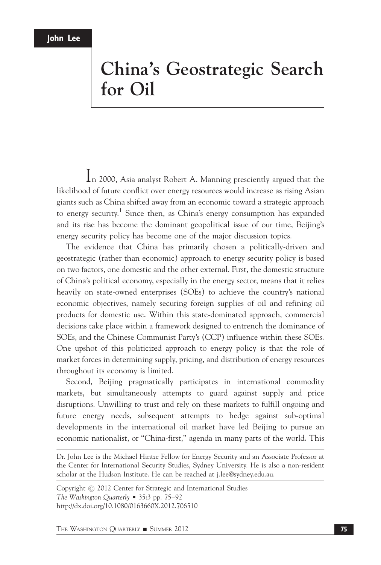# China's Geostrategic Search for Oil

In 2000, Asia analyst Robert A. Manning presciently argued that the likelihood of future conflict over energy resources would increase as rising Asian giants such as China shifted away from an economic toward a strategic approach to energy security.<sup>1</sup> Since then, as China's energy consumption has expanded and its rise has become the dominant geopolitical issue of our time, Beijing's energy security policy has become one of the major discussion topics.

The evidence that China has primarily chosen a politically-driven and geostrategic (rather than economic) approach to energy security policy is based on two factors, one domestic and the other external. First, the domestic structure of China's political economy, especially in the energy sector, means that it relies heavily on state-owned enterprises (SOEs) to achieve the country's national economic objectives, namely securing foreign supplies of oil and refining oil products for domestic use. Within this state-dominated approach, commercial decisions take place within a framework designed to entrench the dominance of SOEs, and the Chinese Communist Party's (CCP) influence within these SOEs. One upshot of this politicized approach to energy policy is that the role of market forces in determining supply, pricing, and distribution of energy resources throughout its economy is limited.

Second, Beijing pragmatically participates in international commodity markets, but simultaneously attempts to guard against supply and price disruptions. Unwilling to trust and rely on these markets to fulfill ongoing and future energy needs, subsequent attempts to hedge against sub-optimal developments in the international oil market have led Beijing to pursue an economic nationalist, or ''China-first,'' agenda in many parts of the world. This

Dr. John Lee is the Michael Hintze Fellow for Energy Security and an Associate Professor at the Center for International Security Studies, Sydney University. He is also a non-resident scholar at the Hudson Institute. He can be reached at j.lee@sydney.edu.au.

Copyright © 2012 Center for Strategic and International Studies The Washington Quarterly  $\bullet$  35:3 pp. 75–92 <http://dx.doi.org/10.1080/0163660X.2012.706510>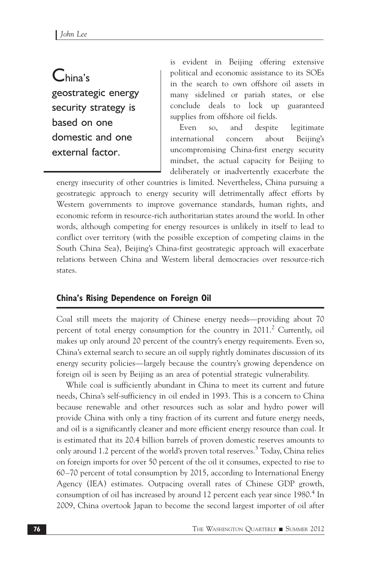China's geostrategic energy security strategy is based on one domestic and one external factor.

is evident in Beijing offering extensive political and economic assistance to its SOEs in the search to own offshore oil assets in many sidelined or pariah states, or else conclude deals to lock up guaranteed supplies from offshore oil fields.

Even so, and despite legitimate international concern about Beijing's uncompromising China-first energy security mindset, the actual capacity for Beijing to deliberately or inadvertently exacerbate the

energy insecurity of other countries is limited. Nevertheless, China pursuing a geostrategic approach to energy security will detrimentally affect efforts by Western governments to improve governance standards, human rights, and economic reform in resource-rich authoritarian states around the world. In other words, although competing for energy resources is unlikely in itself to lead to conflict over territory (with the possible exception of competing claims in the South China Sea), Beijing's China-first geostrategic approach will exacerbate relations between China and Western liberal democracies over resource-rich states.

## China's Rising Dependence on Foreign Oil

Coal still meets the majority of Chinese energy needs—providing about 70 percent of total energy consumption for the country in 2011.<sup>2</sup> Currently, oil makes up only around 20 percent of the country's energy requirements. Even so, China's external search to secure an oil supply rightly dominates discussion of its energy security policies—largely because the country's growing dependence on foreign oil is seen by Beijing as an area of potential strategic vulnerability.

While coal is sufficiently abundant in China to meet its current and future needs, China's self-sufficiency in oil ended in 1993. This is a concern to China because renewable and other resources such as solar and hydro power will provide China with only a tiny fraction of its current and future energy needs, and oil is a significantly cleaner and more efficient energy resource than coal. It is estimated that its 20.4 billion barrels of proven domestic reserves amounts to only around 1.2 percent of the world's proven total reserves.<sup>3</sup> Today, China relies on foreign imports for over 50 percent of the oil it consumes, expected to rise to 60—70 percent of total consumption by 2015, according to International Energy Agency (IEA) estimates. Outpacing overall rates of Chinese GDP growth, consumption of oil has increased by around 12 percent each year since 1980.<sup>4</sup> In 2009, China overtook Japan to become the second largest importer of oil after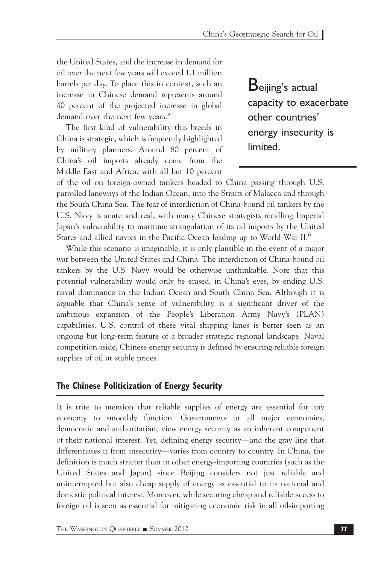the United States, and the increase in demand for oil over the next few years will exceed 1.1 million barrels per day. To place this in context, such an increase in Chinese demand represents around 40 percent of the projected increase in global demand over the next few years.<sup>5</sup>

The first kind of vulnerability this breeds in China is strategic, which is frequently highlighted by military planners. Around 80 percent of China's oil imports already come from the Middle East and Africa, with all but 10 percent

Beijing's actual capacity to exacerbate other countries' energy insecurity is limited.

of the oil on foreign-owned tankers headed to China passing through U.S. patrolled laneways of the Indian Ocean, into the Straits of Malacca and through the South China Sea. The fear of interdiction of China-bound oil tankers by the U.S. Navy is acute and real, with many Chinese strategists recalling Imperial Japan's vulnerability to maritime strangulation of its oil imports by the United States and allied navies in the Pacific Ocean leading up to World War II.<sup>6</sup>

While this scenario is imaginable, it is only plausible in the event of a major war between the United States and China. The interdiction of China-bound oil tankers by the U.S. Navy would be otherwise unthinkable. Note that this potential vulnerability would only be erased, in China's eyes, by ending U.S. naval dominance in the Indian Ocean and South China Sea. Although it is arguable that China's sense of vulnerability is a significant driver of the ambitious expansion of the People's Liberation Army Navy's (PLAN) capabilities, U.S. control of these vital shipping lanes is better seen as an ongoing but long-term feature of a broader strategic regional landscape. Naval competition aside, Chinese energy security is defined by ensuring reliable foreign supplies of oil at stable prices.

## The Chinese Politicization of Energy Security

It is trite to mention that reliable supplies of energy are essential for any economy to smoothly function. Governments in all major economies, democratic and authoritarian, view energy security as an inherent component of their national interest. Yet, defining energy security—and the gray line that differentiates it from insecurity—varies from country to country. In China, the definition is much stricter than in other energy-importing countries (such as the United States and Japan) since Beijing considers not just reliable and uninterrupted but also cheap supply of energy as essential to its national and domestic political interest. Moreover, while securing cheap and reliable access to foreign oil is seen as essential for mitigating economic risk in all oil-importing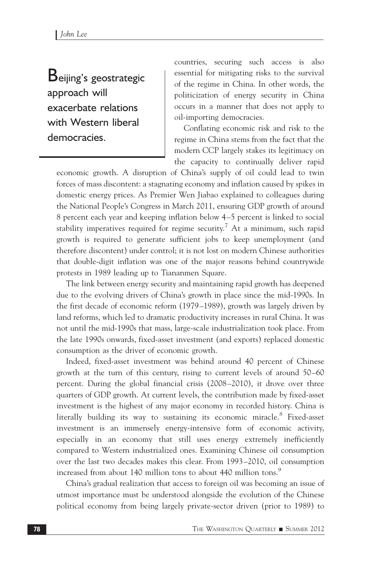Beijing's geostrategic approach will exacerbate relations with Western liberal democracies.

countries, securing such access is also essential for mitigating risks to the survival of the regime in China. In other words, the politicization of energy security in China occurs in a manner that does not apply to oil-importing democracies.

Conflating economic risk and risk to the regime in China stems from the fact that the modern CCP largely stakes its legitimacy on the capacity to continually deliver rapid

economic growth. A disruption of China's supply of oil could lead to twin forces of mass discontent: a stagnating economy and inflation caused by spikes in domestic energy prices. As Premier Wen Jiabao explained to colleagues during the National People's Congress in March 2011, ensuring GDP growth of around 8 percent each year and keeping inflation below 4—5 percent is linked to social stability imperatives required for regime security.<sup>7</sup> At a minimum, such rapid growth is required to generate sufficient jobs to keep unemployment (and therefore discontent) under control; it is not lost on modern Chinese authorities that double-digit inflation was one of the major reasons behind countrywide protests in 1989 leading up to Tiananmen Square.

The link between energy security and maintaining rapid growth has deepened due to the evolving drivers of China's growth in place since the mid-1990s. In the first decade of economic reform (1979—1989), growth was largely driven by land reforms, which led to dramatic productivity increases in rural China. It was not until the mid-1990s that mass, large-scale industrialization took place. From the late 1990s onwards, fixed-asset investment (and exports) replaced domestic consumption as the driver of economic growth.

Indeed, fixed-asset investment was behind around 40 percent of Chinese growth at the turn of this century, rising to current levels of around 50—60 percent. During the global financial crisis (2008—2010), it drove over three quarters of GDP growth. At current levels, the contribution made by fixed-asset investment is the highest of any major economy in recorded history. China is literally building its way to sustaining its economic miracle.<sup>8</sup> Fixed-asset investment is an immensely energy-intensive form of economic activity, especially in an economy that still uses energy extremely inefficiently compared to Western industrialized ones. Examining Chinese oil consumption over the last two decades makes this clear. From 1993—2010, oil consumption increased from about 140 million tons to about 440 million tons.<sup>9</sup>

China's gradual realization that access to foreign oil was becoming an issue of utmost importance must be understood alongside the evolution of the Chinese political economy from being largely private-sector driven (prior to 1989) to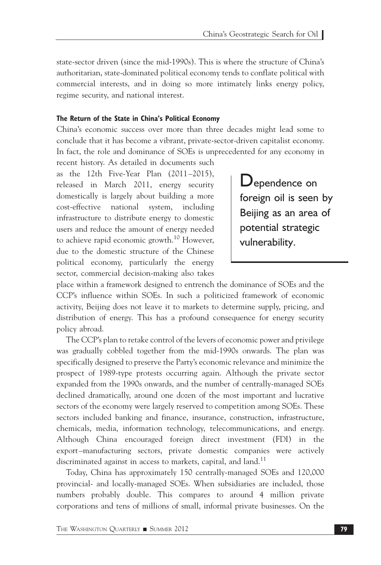state-sector driven (since the mid-1990s). This is where the structure of China's authoritarian, state-dominated political economy tends to conflate political with commercial interests, and in doing so more intimately links energy policy, regime security, and national interest.

# The Return of the State in China's Political Economy

China's economic success over more than three decades might lead some to conclude that it has become a vibrant, private-sector-driven capitalist economy. In fact, the role and dominance of SOEs is unprecedented for any economy in recent history. As detailed in documents such

as the 12th Five-Year Plan (2011—2015), released in March 2011, energy security domestically is largely about building a more cost-effective national system, including infrastructure to distribute energy to domestic users and reduce the amount of energy needed to achieve rapid economic growth.<sup>10</sup> However, due to the domestic structure of the Chinese political economy, particularly the energy sector, commercial decision-making also takes

 $\mathcal P$ ependence on foreign oil is seen by Beijing as an area of potential strategic vulnerability.

place within a framework designed to entrench the dominance of SOEs and the CCP's influence within SOEs. In such a politicized framework of economic activity, Beijing does not leave it to markets to determine supply, pricing, and distribution of energy. This has a profound consequence for energy security policy abroad.

The CCP's plan to retake control of the levers of economic power and privilege was gradually cobbled together from the mid-1990s onwards. The plan was specifically designed to preserve the Party's economic relevance and minimize the prospect of 1989-type protests occurring again. Although the private sector expanded from the 1990s onwards, and the number of centrally-managed SOEs declined dramatically, around one dozen of the most important and lucrative sectors of the economy were largely reserved to competition among SOEs. These sectors included banking and finance, insurance, construction, infrastructure, chemicals, media, information technology, telecommunications, and energy. Although China encouraged foreign direct investment (FDI) in the export—manufacturing sectors, private domestic companies were actively discriminated against in access to markets, capital, and land.<sup>11</sup>

Today, China has approximately 150 centrally-managed SOEs and 120,000 provincial- and locally-managed SOEs. When subsidiaries are included, those numbers probably double. This compares to around 4 million private corporations and tens of millions of small, informal private businesses. On the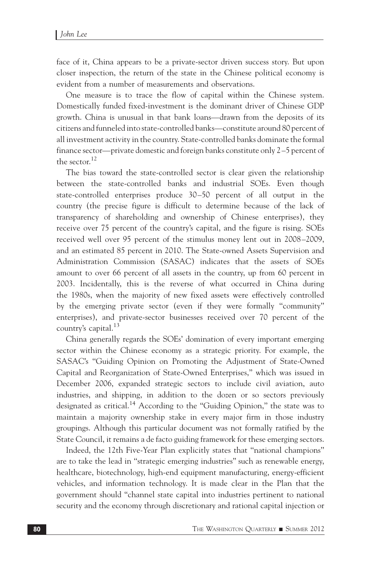face of it, China appears to be a private-sector driven success story. But upon closer inspection, the return of the state in the Chinese political economy is evident from a number of measurements and observations.

One measure is to trace the flow of capital within the Chinese system. Domestically funded fixed-investment is the dominant driver of Chinese GDP growth. China is unusual in that bank loans—drawn from the deposits of its citizens and funneled into state-controlled banks-constitute around 80 percent of all investment activity in the country. State-controlled banks dominate the formal finance sector-private domestic and foreign banks constitute only 2—5 percent of the sector.12

The bias toward the state-controlled sector is clear given the relationship between the state-controlled banks and industrial SOEs. Even though state-controlled enterprises produce 30—50 percent of all output in the country (the precise figure is difficult to determine because of the lack of transparency of shareholding and ownership of Chinese enterprises), they receive over 75 percent of the country's capital, and the figure is rising. SOEs received well over 95 percent of the stimulus money lent out in 2008—2009, and an estimated 85 percent in 2010. The State-owned Assets Supervision and Administration Commission (SASAC) indicates that the assets of SOEs amount to over 66 percent of all assets in the country, up from 60 percent in 2003. Incidentally, this is the reverse of what occurred in China during the 1980s, when the majority of new fixed assets were effectively controlled by the emerging private sector (even if they were formally ''community'' enterprises), and private-sector businesses received over 70 percent of the country's capital.<sup>13</sup>

China generally regards the SOEs' domination of every important emerging sector within the Chinese economy as a strategic priority. For example, the SASAC's ''Guiding Opinion on Promoting the Adjustment of State-Owned Capital and Reorganization of State-Owned Enterprises,'' which was issued in December 2006, expanded strategic sectors to include civil aviation, auto industries, and shipping, in addition to the dozen or so sectors previously designated as critical.<sup>14</sup> According to the "Guiding Opinion," the state was to maintain a majority ownership stake in every major firm in those industry groupings. Although this particular document was not formally ratified by the State Council, it remains a de facto guiding framework for these emerging sectors.

Indeed, the 12th Five-Year Plan explicitly states that ''national champions'' are to take the lead in ''strategic emerging industries'' such as renewable energy, healthcare, biotechnology, high-end equipment manufacturing, energy-efficient vehicles, and information technology. It is made clear in the Plan that the government should ''channel state capital into industries pertinent to national security and the economy through discretionary and rational capital injection or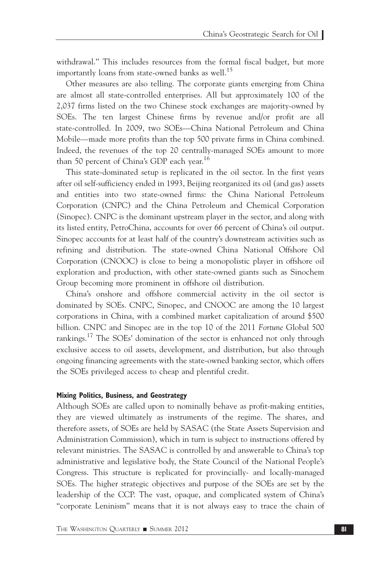withdrawal.'' This includes resources from the formal fiscal budget, but more importantly loans from state-owned banks as well.<sup>15</sup>

Other measures are also telling. The corporate giants emerging from China are almost all state-controlled enterprises. All but approximately 100 of the 2,037 firms listed on the two Chinese stock exchanges are majority-owned by SOEs. The ten largest Chinese firms by revenue and/or profit are all state-controlled. In 2009, two SOEs-China National Petroleum and China Mobile-made more profits than the top 500 private firms in China combined. Indeed, the revenues of the top 20 centrally-managed SOEs amount to more than 50 percent of China's GDP each year.<sup>16</sup>

This state-dominated setup is replicated in the oil sector. In the first years after oil self-sufficiency ended in 1993, Beijing reorganized its oil (and gas) assets and entities into two state-owned firms: the China National Petroleum Corporation (CNPC) and the China Petroleum and Chemical Corporation (Sinopec). CNPC is the dominant upstream player in the sector, and along with its listed entity, PetroChina, accounts for over 66 percent of China's oil output. Sinopec accounts for at least half of the country's downstream activities such as refining and distribution. The state-owned China National Offshore Oil Corporation (CNOOC) is close to being a monopolistic player in offshore oil exploration and production, with other state-owned giants such as Sinochem Group becoming more prominent in offshore oil distribution.

China's onshore and offshore commercial activity in the oil sector is dominated by SOEs. CNPC, Sinopec, and CNOOC are among the 10 largest corporations in China, with a combined market capitalization of around \$500 billion. CNPC and Sinopec are in the top 10 of the 2011 Fortune Global 500 rankings.<sup>17</sup> The SOEs' domination of the sector is enhanced not only through exclusive access to oil assets, development, and distribution, but also through ongoing financing agreements with the state-owned banking sector, which offers the SOEs privileged access to cheap and plentiful credit.

#### Mixing Politics, Business, and Geostrategy

Although SOEs are called upon to nominally behave as profit-making entities, they are viewed ultimately as instruments of the regime. The shares, and therefore assets, of SOEs are held by SASAC (the State Assets Supervision and Administration Commission), which in turn is subject to instructions offered by relevant ministries. The SASAC is controlled by and answerable to China's top administrative and legislative body, the State Council of the National People's Congress. This structure is replicated for provincially- and locally-managed SOEs. The higher strategic objectives and purpose of the SOEs are set by the leadership of the CCP. The vast, opaque, and complicated system of China's ''corporate Leninism'' means that it is not always easy to trace the chain of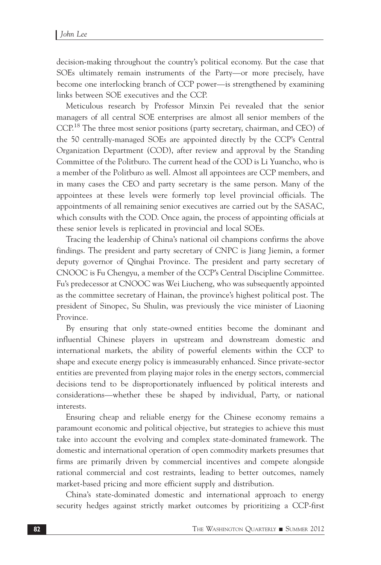decision-making throughout the country's political economy. But the case that SOEs ultimately remain instruments of the Party—or more precisely, have become one interlocking branch of CCP power—is strengthened by examining links between SOE executives and the CCP.

Meticulous research by Professor Minxin Pei revealed that the senior managers of all central SOE enterprises are almost all senior members of the CCP.18 The three most senior positions (party secretary, chairman, and CEO) of the 50 centrally-managed SOEs are appointed directly by the CCP's Central Organization Department (COD), after review and approval by the Standing Committee of the Politburo. The current head of the COD is Li Yuancho, who is a member of the Politburo as well. Almost all appointees are CCP members, and in many cases the CEO and party secretary is the same person. Many of the appointees at these levels were formerly top level provincial officials. The appointments of all remaining senior executives are carried out by the SASAC, which consults with the COD. Once again, the process of appointing officials at these senior levels is replicated in provincial and local SOEs.

Tracing the leadership of China's national oil champions confirms the above findings. The president and party secretary of CNPC is Jiang Jiemin, a former deputy governor of Qinghai Province. The president and party secretary of CNOOC is Fu Chengyu, a member of the CCP's Central Discipline Committee. Fu's predecessor at CNOOC was Wei Liucheng, who was subsequently appointed as the committee secretary of Hainan, the province's highest political post. The president of Sinopec, Su Shulin, was previously the vice minister of Liaoning Province.

By ensuring that only state-owned entities become the dominant and influential Chinese players in upstream and downstream domestic and international markets, the ability of powerful elements within the CCP to shape and execute energy policy is immeasurably enhanced. Since private-sector entities are prevented from playing major roles in the energy sectors, commercial decisions tend to be disproportionately influenced by political interests and considerations-whether these be shaped by individual, Party, or national interests.

Ensuring cheap and reliable energy for the Chinese economy remains a paramount economic and political objective, but strategies to achieve this must take into account the evolving and complex state-dominated framework. The domestic and international operation of open commodity markets presumes that firms are primarily driven by commercial incentives and compete alongside rational commercial and cost restraints, leading to better outcomes, namely market-based pricing and more efficient supply and distribution.

China's state-dominated domestic and international approach to energy security hedges against strictly market outcomes by prioritizing a CCP-first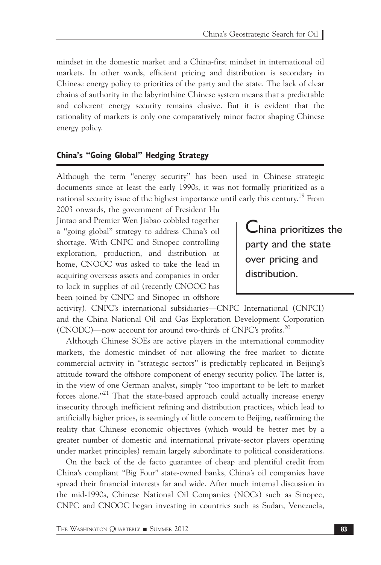mindset in the domestic market and a China-first mindset in international oil markets. In other words, efficient pricing and distribution is secondary in Chinese energy policy to priorities of the party and the state. The lack of clear chains of authority in the labyrinthine Chinese system means that a predictable and coherent energy security remains elusive. But it is evident that the rationality of markets is only one comparatively minor factor shaping Chinese energy policy.

## China's ''Going Global'' Hedging Strategy

Although the term ''energy security'' has been used in Chinese strategic documents since at least the early 1990s, it was not formally prioritized as a national security issue of the highest importance until early this century.<sup>19</sup> From 2003 onwards, the government of President Hu

Jintao and Premier Wen Jiabao cobbled together a ''going global'' strategy to address China's oil shortage. With CNPC and Sinopec controlling exploration, production, and distribution at home, CNOOC was asked to take the lead in acquiring overseas assets and companies in order to lock in supplies of oil (recently CNOOC has been joined by CNPC and Sinopec in offshore

China prioritizes the party and the state over pricing and distribution.

activity). CNPC's international subsidiaries-CNPC International (CNPCI) and the China National Oil and Gas Exploration Development Corporation (CNODC)—now account for around two-thirds of CNPC's profits.<sup>20</sup>

Although Chinese SOEs are active players in the international commodity markets, the domestic mindset of not allowing the free market to dictate commercial activity in ''strategic sectors'' is predictably replicated in Beijing's attitude toward the offshore component of energy security policy. The latter is, in the view of one German analyst, simply ''too important to be left to market forces alone."<sup>21</sup> That the state-based approach could actually increase energy insecurity through inefficient refining and distribution practices, which lead to artificially higher prices, is seemingly of little concern to Beijing, reaffirming the reality that Chinese economic objectives (which would be better met by a greater number of domestic and international private-sector players operating under market principles) remain largely subordinate to political considerations.

On the back of the de facto guarantee of cheap and plentiful credit from China's compliant ''Big Four'' state-owned banks, China's oil companies have spread their financial interests far and wide. After much internal discussion in the mid-1990s, Chinese National Oil Companies (NOCs) such as Sinopec, CNPC and CNOOC began investing in countries such as Sudan, Venezuela,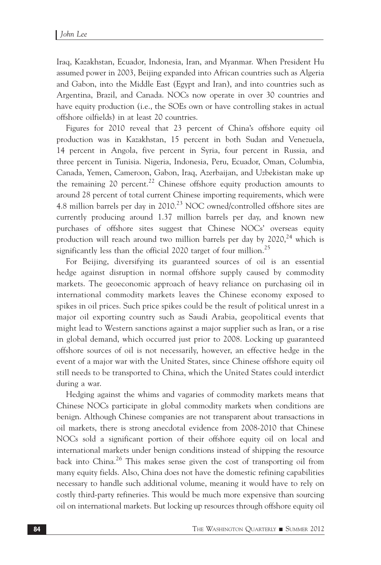Iraq, Kazakhstan, Ecuador, Indonesia, Iran, and Myanmar. When President Hu assumed power in 2003, Beijing expanded into African countries such as Algeria and Gabon, into the Middle East (Egypt and Iran), and into countries such as Argentina, Brazil, and Canada. NOCs now operate in over 30 countries and have equity production (i.e., the SOEs own or have controlling stakes in actual offshore oilfields) in at least 20 countries.

Figures for 2010 reveal that 23 percent of China's offshore equity oil production was in Kazakhstan, 15 percent in both Sudan and Venezuela, 14 percent in Angola, five percent in Syria, four percent in Russia, and three percent in Tunisia. Nigeria, Indonesia, Peru, Ecuador, Oman, Columbia, Canada, Yemen, Cameroon, Gabon, Iraq, Azerbaijan, and Uzbekistan make up the remaining 20 percent.<sup>22</sup> Chinese offshore equity production amounts to around 28 percent of total current Chinese importing requirements, which were 4.8 million barrels per day in  $2010<sup>23</sup>$  NOC owned/controlled offshore sites are currently producing around 1.37 million barrels per day, and known new purchases of offshore sites suggest that Chinese NOCs' overseas equity production will reach around two million barrels per day by  $2020$ ,  $24$  which is significantly less than the official 2020 target of four million.<sup>25</sup>

For Beijing, diversifying its guaranteed sources of oil is an essential hedge against disruption in normal offshore supply caused by commodity markets. The geoeconomic approach of heavy reliance on purchasing oil in international commodity markets leaves the Chinese economy exposed to spikes in oil prices. Such price spikes could be the result of political unrest in a major oil exporting country such as Saudi Arabia, geopolitical events that might lead to Western sanctions against a major supplier such as Iran, or a rise in global demand, which occurred just prior to 2008. Locking up guaranteed offshore sources of oil is not necessarily, however, an effective hedge in the event of a major war with the United States, since Chinese offshore equity oil still needs to be transported to China, which the United States could interdict during a war.

Hedging against the whims and vagaries of commodity markets means that Chinese NOCs participate in global commodity markets when conditions are benign. Although Chinese companies are not transparent about transactions in oil markets, there is strong anecdotal evidence from 2008-2010 that Chinese NOCs sold a significant portion of their offshore equity oil on local and international markets under benign conditions instead of shipping the resource back into China.<sup>26</sup> This makes sense given the cost of transporting oil from many equity fields. Also, China does not have the domestic refining capabilities necessary to handle such additional volume, meaning it would have to rely on costly third-party refineries. This would be much more expensive than sourcing oil on international markets. But locking up resources through offshore equity oil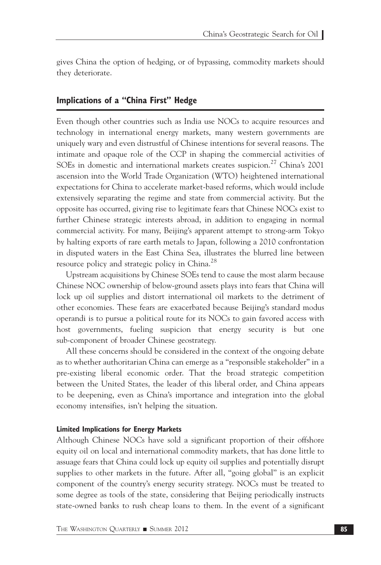gives China the option of hedging, or of bypassing, commodity markets should they deteriorate.

## Implications of a ''China First'' Hedge

Even though other countries such as India use NOCs to acquire resources and technology in international energy markets, many western governments are uniquely wary and even distrustful of Chinese intentions for several reasons. The intimate and opaque role of the CCP in shaping the commercial activities of SOEs in domestic and international markets creates suspicion.<sup>27</sup> China's 2001 ascension into the World Trade Organization (WTO) heightened international expectations for China to accelerate market-based reforms, which would include extensively separating the regime and state from commercial activity. But the opposite has occurred, giving rise to legitimate fears that Chinese NOCs exist to further Chinese strategic interests abroad, in addition to engaging in normal commercial activity. For many, Beijing's apparent attempt to strong-arm Tokyo by halting exports of rare earth metals to Japan, following a 2010 confrontation in disputed waters in the East China Sea, illustrates the blurred line between resource policy and strategic policy in China.<sup>28</sup>

Upstream acquisitions by Chinese SOEs tend to cause the most alarm because Chinese NOC ownership of below-ground assets plays into fears that China will lock up oil supplies and distort international oil markets to the detriment of other economies. These fears are exacerbated because Beijing's standard modus operandi is to pursue a political route for its NOCs to gain favored access with host governments, fueling suspicion that energy security is but one sub-component of broader Chinese geostrategy.

All these concerns should be considered in the context of the ongoing debate as to whether authoritarian China can emerge as a ''responsible stakeholder'' in a pre-existing liberal economic order. That the broad strategic competition between the United States, the leader of this liberal order, and China appears to be deepening, even as China's importance and integration into the global economy intensifies, isn't helping the situation.

#### Limited Implications for Energy Markets

Although Chinese NOCs have sold a significant proportion of their offshore equity oil on local and international commodity markets, that has done little to assuage fears that China could lock up equity oil supplies and potentially disrupt supplies to other markets in the future. After all, "going global" is an explicit component of the country's energy security strategy. NOCs must be treated to some degree as tools of the state, considering that Beijing periodically instructs state-owned banks to rush cheap loans to them. In the event of a significant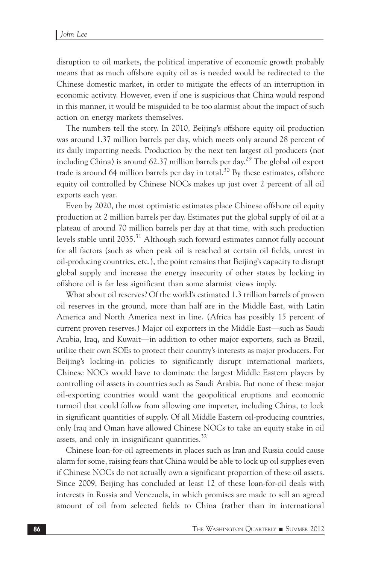disruption to oil markets, the political imperative of economic growth probably means that as much offshore equity oil as is needed would be redirected to the Chinese domestic market, in order to mitigate the effects of an interruption in economic activity. However, even if one is suspicious that China would respond in this manner, it would be misguided to be too alarmist about the impact of such action on energy markets themselves.

The numbers tell the story. In 2010, Beijing's offshore equity oil production was around 1.37 million barrels per day, which meets only around 28 percent of its daily importing needs. Production by the next ten largest oil producers (not including China) is around  $62.37$  million barrels per day.<sup>29</sup> The global oil export trade is around 64 million barrels per day in total.<sup>30</sup> By these estimates, offshore equity oil controlled by Chinese NOCs makes up just over 2 percent of all oil exports each year.

Even by 2020, the most optimistic estimates place Chinese offshore oil equity production at 2 million barrels per day. Estimates put the global supply of oil at a plateau of around 70 million barrels per day at that time, with such production levels stable until  $2035$ <sup>31</sup> Although such forward estimates cannot fully account for all factors (such as when peak oil is reached at certain oil fields, unrest in oil-producing countries, etc.), the point remains that Beijing's capacity to disrupt global supply and increase the energy insecurity of other states by locking in offshore oil is far less significant than some alarmist views imply.

What about oil reserves? Of the world's estimated 1.3 trillion barrels of proven oil reserves in the ground, more than half are in the Middle East, with Latin America and North America next in line. (Africa has possibly 15 percent of current proven reserves.) Major oil exporters in the Middle East—such as Saudi Arabia, Iraq, and Kuwait—in addition to other major exporters, such as Brazil, utilize their own SOEs to protect their country's interests as major producers. For Beijing's locking-in policies to significantly disrupt international markets, Chinese NOCs would have to dominate the largest Middle Eastern players by controlling oil assets in countries such as Saudi Arabia. But none of these major oil-exporting countries would want the geopolitical eruptions and economic turmoil that could follow from allowing one importer, including China, to lock in significant quantities of supply. Of all Middle Eastern oil-producing countries, only Iraq and Oman have allowed Chinese NOCs to take an equity stake in oil assets, and only in insignificant quantities.<sup>32</sup>

Chinese loan-for-oil agreements in places such as Iran and Russia could cause alarm for some, raising fears that China would be able to lock up oil supplies even if Chinese NOCs do not actually own a significant proportion of these oil assets. Since 2009, Beijing has concluded at least 12 of these loan-for-oil deals with interests in Russia and Venezuela, in which promises are made to sell an agreed amount of oil from selected fields to China (rather than in international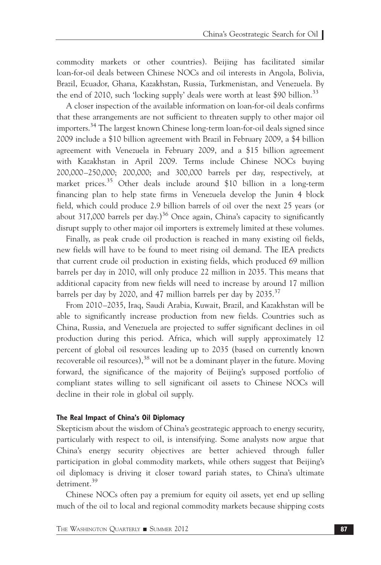commodity markets or other countries). Beijing has facilitated similar loan-for-oil deals between Chinese NOCs and oil interests in Angola, Bolivia, Brazil, Ecuador, Ghana, Kazakhstan, Russia, Turkmenistan, and Venezuela. By the end of 2010, such 'locking supply' deals were worth at least \$90 billion.<sup>33</sup>

A closer inspection of the available information on loan-for-oil deals confirms that these arrangements are not sufficient to threaten supply to other major oil importers.<sup>34</sup> The largest known Chinese long-term loan-for-oil deals signed since 2009 include a \$10 billion agreement with Brazil in February 2009, a \$4 billion agreement with Venezuela in February 2009, and a \$15 billion agreement with Kazakhstan in April 2009. Terms include Chinese NOCs buying 200,000—250,000; 200,000; and 300,000 barrels per day, respectively, at market prices.<sup>35</sup> Other deals include around \$10 billion in a long-term financing plan to help state firms in Venezuela develop the Junin 4 block field, which could produce 2.9 billion barrels of oil over the next 25 years (or about 317,000 barrels per day.)<sup>36</sup> Once again, China's capacity to significantly disrupt supply to other major oil importers is extremely limited at these volumes.

Finally, as peak crude oil production is reached in many existing oil fields, new fields will have to be found to meet rising oil demand. The IEA predicts that current crude oil production in existing fields, which produced 69 million barrels per day in 2010, will only produce 22 million in 2035. This means that additional capacity from new fields will need to increase by around 17 million barrels per day by 2020, and 47 million barrels per day by  $2035.^{37}$ 

From 2010—2035, Iraq, Saudi Arabia, Kuwait, Brazil, and Kazakhstan will be able to significantly increase production from new fields. Countries such as China, Russia, and Venezuela are projected to suffer significant declines in oil production during this period. Africa, which will supply approximately 12 percent of global oil resources leading up to 2035 (based on currently known recoverable oil resources), $38$  will not be a dominant player in the future. Moving forward, the significance of the majority of Beijing's supposed portfolio of compliant states willing to sell significant oil assets to Chinese NOCs will decline in their role in global oil supply.

#### The Real Impact of China's Oil Diplomacy

Skepticism about the wisdom of China's geostrategic approach to energy security, particularly with respect to oil, is intensifying. Some analysts now argue that China's energy security objectives are better achieved through fuller participation in global commodity markets, while others suggest that Beijing's oil diplomacy is driving it closer toward pariah states, to China's ultimate detriment.<sup>39</sup>

Chinese NOCs often pay a premium for equity oil assets, yet end up selling much of the oil to local and regional commodity markets because shipping costs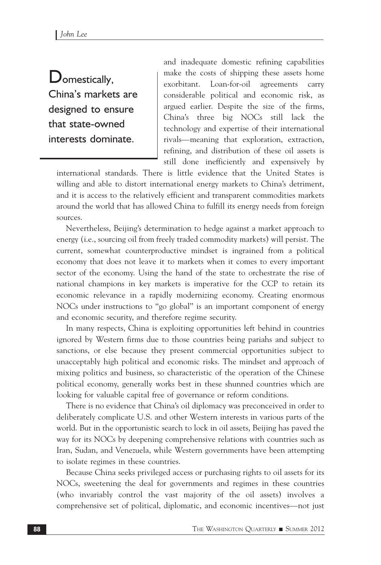Domestically, China's markets are designed to ensure that state-owned interests dominate.

and inadequate domestic refining capabilities make the costs of shipping these assets home exorbitant. Loan-for-oil agreements carry considerable political and economic risk, as argued earlier. Despite the size of the firms, China's three big NOCs still lack the technology and expertise of their international rivals-meaning that exploration, extraction, refining, and distribution of these oil assets is still done inefficiently and expensively by

international standards. There is little evidence that the United States is willing and able to distort international energy markets to China's detriment, and it is access to the relatively efficient and transparent commodities markets around the world that has allowed China to fulfill its energy needs from foreign sources.

Nevertheless, Beijing's determination to hedge against a market approach to energy (i.e., sourcing oil from freely traded commodity markets) will persist. The current, somewhat counterproductive mindset is ingrained from a political economy that does not leave it to markets when it comes to every important sector of the economy. Using the hand of the state to orchestrate the rise of national champions in key markets is imperative for the CCP to retain its economic relevance in a rapidly modernizing economy. Creating enormous NOCs under instructions to ''go global'' is an important component of energy and economic security, and therefore regime security.

In many respects, China is exploiting opportunities left behind in countries ignored by Western firms due to those countries being pariahs and subject to sanctions, or else because they present commercial opportunities subject to unacceptably high political and economic risks. The mindset and approach of mixing politics and business, so characteristic of the operation of the Chinese political economy, generally works best in these shunned countries which are looking for valuable capital free of governance or reform conditions.

There is no evidence that China's oil diplomacy was preconceived in order to deliberately complicate U.S. and other Western interests in various parts of the world. But in the opportunistic search to lock in oil assets, Beijing has paved the way for its NOCs by deepening comprehensive relations with countries such as Iran, Sudan, and Venezuela, while Western governments have been attempting to isolate regimes in these countries.

Because China seeks privileged access or purchasing rights to oil assets for its NOCs, sweetening the deal for governments and regimes in these countries (who invariably control the vast majority of the oil assets) involves a comprehensive set of political, diplomatic, and economic incentives—not just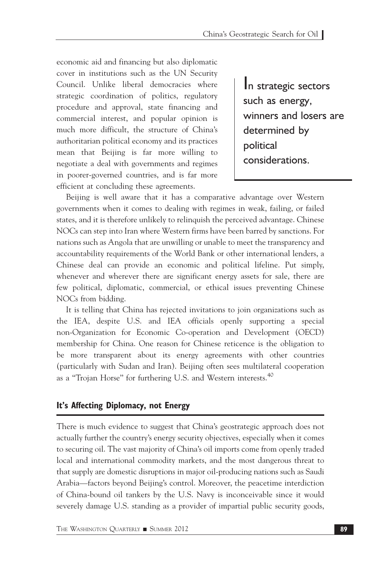economic aid and financing but also diplomatic cover in institutions such as the UN Security Council. Unlike liberal democracies where strategic coordination of politics, regulatory procedure and approval, state financing and commercial interest, and popular opinion is much more difficult, the structure of China's authoritarian political economy and its practices mean that Beijing is far more willing to negotiate a deal with governments and regimes in poorer-governed countries, and is far more efficient at concluding these agreements.

In strategic sectors such as energy, winners and losers are determined by political considerations.

Beijing is well aware that it has a comparative advantage over Western governments when it comes to dealing with regimes in weak, failing, or failed states, and it is therefore unlikely to relinquish the perceived advantage. Chinese NOCs can step into Iran where Western firms have been barred by sanctions. For nations such as Angola that are unwilling or unable to meet the transparency and accountability requirements of the World Bank or other international lenders, a Chinese deal can provide an economic and political lifeline. Put simply, whenever and wherever there are significant energy assets for sale, there are few political, diplomatic, commercial, or ethical issues preventing Chinese NOCs from bidding.

It is telling that China has rejected invitations to join organizations such as the IEA, despite U.S. and IEA officials openly supporting a special non-Organization for Economic Co-operation and Development (OECD) membership for China. One reason for Chinese reticence is the obligation to be more transparent about its energy agreements with other countries (particularly with Sudan and Iran). Beijing often sees multilateral cooperation as a "Trojan Horse" for furthering U.S. and Western interests.<sup>40</sup>

## It's Affecting Diplomacy, not Energy

There is much evidence to suggest that China's geostrategic approach does not actually further the country's energy security objectives, especially when it comes to securing oil. The vast majority of China's oil imports come from openly traded local and international commodity markets, and the most dangerous threat to that supply are domestic disruptions in major oil-producing nations such as Saudi Arabia-factors beyond Beijing's control. Moreover, the peacetime interdiction of China-bound oil tankers by the U.S. Navy is inconceivable since it would severely damage U.S. standing as a provider of impartial public security goods,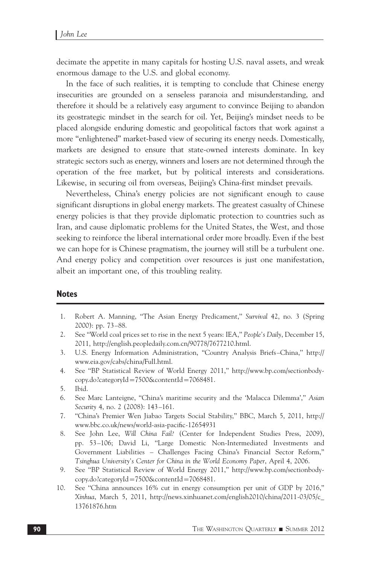decimate the appetite in many capitals for hosting U.S. naval assets, and wreak enormous damage to the U.S. and global economy.

In the face of such realities, it is tempting to conclude that Chinese energy insecurities are grounded on a senseless paranoia and misunderstanding, and therefore it should be a relatively easy argument to convince Beijing to abandon its geostrategic mindset in the search for oil. Yet, Beijing's mindset needs to be placed alongside enduring domestic and geopolitical factors that work against a more "enlightened" market-based view of securing its energy needs. Domestically, markets are designed to ensure that state-owned interests dominate. In key strategic sectors such as energy, winners and losers are not determined through the operation of the free market, but by political interests and considerations. Likewise, in securing oil from overseas, Beijing's China-first mindset prevails.

Nevertheless, China's energy policies are not significant enough to cause significant disruptions in global energy markets. The greatest casualty of Chinese energy policies is that they provide diplomatic protection to countries such as Iran, and cause diplomatic problems for the United States, the West, and those seeking to reinforce the liberal international order more broadly. Even if the best we can hope for is Chinese pragmatism, the journey will still be a turbulent one. And energy policy and competition over resources is just one manifestation, albeit an important one, of this troubling reality.

#### **Notes**

- 1. Robert A. Manning, ''The Asian Energy Predicament,'' Survival 42, no. 3 (Spring 2000): pp. 73—88.
- 2. See ''World coal prices set to rise in the next 5 years: IEA,'' People's Daily, December 15, 2011,<http://english.peopledaily.com.cn/90778/7677210.html>.
- 3. U.S. Energy Information Administration, ''Country Analysis Briefs—China,'' [http://](http://www.eia.gov/cabs/china/Full.html) [www.eia.gov/cabs/china/Full.html](http://www.eia.gov/cabs/china/Full.html).
- 4. See ''BP Statistical Review of World Energy 2011,'' [http://www.bp.com/sectionbody](http://www.bp.com/sectionbodycopy.do?categoryId=7500&contentId=7068481)[copy.do?categoryId](http://www.bp.com/sectionbodycopy.do?categoryId=7500&contentId=7068481)[-](http://www.bp.com/sectionbodycopy.do?categoryId=7500&contentId=7068481)[7500&contentId](http://www.bp.com/sectionbodycopy.do?categoryId=7500&contentId=7068481)[-](http://www.bp.com/sectionbodycopy.do?categoryId=7500&contentId=7068481)[7068481.](http://www.bp.com/sectionbodycopy.do?categoryId=7500&contentId=7068481)
- 5. Ibid.
- 6. See Marc Lanteigne, ''China's maritime security and the 'Malacca Dilemma','' Asian Security 4, no. 2 (2008): 143—161.
- 7. ''China's Premier Wen Jiabao Targets Social Stability,'' BBC, March 5, 2011, [http://](http://www.bbc.co.uk/news/world-asia-pacific-12654931) [www.bbc.co.uk/news/world](http://www.bbc.co.uk/news/world-asia-pacific-12654931)-[asia](http://www.bbc.co.uk/news/world-asia-pacific-12654931)-[pacific](http://www.bbc.co.uk/news/world-asia-pacific-12654931)-[12654931](http://www.bbc.co.uk/news/world-asia-pacific-12654931)
- 8. See John Lee, Will China Fail? (Center for Independent Studies Press, 2009), pp. 53—106; David Li, ''Large Domestic Non-Intermediated Investments and Government Liabilities — Challenges Facing China's Financial Sector Reform,'' Tsinghua University's Center for China in the World Economy Paper, April 4, 2006.
- 9. See ''BP Statistical Review of World Energy 2011,'' [http://www.bp.com/sectionbody](http://www.bp.com/sectionbodycopy.do?categoryId=7500&contentId=7068481)[copy.do?categoryId](http://www.bp.com/sectionbodycopy.do?categoryId=7500&contentId=7068481)[-](http://www.bp.com/sectionbodycopy.do?categoryId=7500&contentId=7068481)[7500&contentId](http://www.bp.com/sectionbodycopy.do?categoryId=7500&contentId=7068481)[-](http://www.bp.com/sectionbodycopy.do?categoryId=7500&contentId=7068481)[7068481.](http://www.bp.com/sectionbodycopy.do?categoryId=7500&contentId=7068481)
- 10. See ''China announces 16% cut in energy consumption per unit of GDP by 2016,'' Xinhua, March 5, 2011, [http://news.xinhuanet.com/english2010/china/2011](http://news.xinhuanet.com/english2010/china/2011-03/05/c_13761876.htm)-[03/05/c\\_](http://news.xinhuanet.com/english2010/china/2011-03/05/c_13761876.htm) [13761876.htm](http://news.xinhuanet.com/english2010/china/2011-03/05/c_13761876.htm)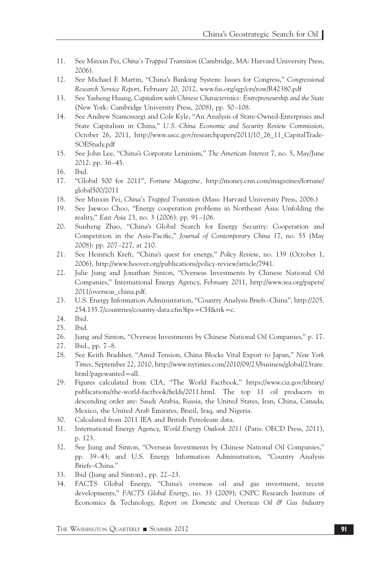- 11. See Minxin Pei, China's Trapped Transition (Cambridge, MA: Harvard University Press, 2006).
- 12. See Michael F. Martin, ''China's Banking System: Issues for Congress,'' Congressional Research Service Report, February 20, 2012, [www.fas.org/sgp/crs/row/R42380.pdf](http://www.fas.org/sgp/crs/row/R42380.pdf)
- 13. See Yasheng Huang, Capitalism with Chinese Characteristics: Entrepreneurship and the State (New York: Cambridge University Press, 2008), pp. 50—108.
- 14. See Andrew Szamosszegi and Cole Kyle, ''An Analysis of State-Owned-Enterprises and State Capitalism in China,'' U.S.-China Economic and Security Review Commission, October 26, 2011, [http://www.uscc.gov/researchpapers/2011/10\\_26\\_11\\_CapitalTrade-](http://www.uscc.gov/researchpapers/2011/10_26_11_CapitalTradeSOEStudy.pdf)[SOEStudy.pdf](http://www.uscc.gov/researchpapers/2011/10_26_11_CapitalTradeSOEStudy.pdf)
- 15. See John Lee, ''China's Corporate Leninism,'' The American Interest 7, no. 5, May/June 2012: pp. 36—45.
- 16. Ibid.
- 17. ''Global 500 for 2011'', Fortune Magazine, [http://money.cnn.com/magazines/fortune/](http://money.cnn.com/magazines/fortune/global500/2011) [global500/2011](http://money.cnn.com/magazines/fortune/global500/2011)
- 18. See Minxin Pei, China's Trapped Transition (Mass: Harvard University Press, 2006.)
- 19. See Jaewoo Choo, ''Energy cooperation problems in Northeast Asia: Unfolding the reality,'' East Asia 23, no. 3 (2006): pp. 91—106.
- 20. Suisheng Zhao, ''China's Global Search for Energy Security: Cooperation and Competition in the Asia-Pacific,'' Journal of Contemporary China 17, no. 55 (May 2008): pp. 207—227, at 210.
- 21. See Heinrich Kreft, ''China's quest for energy,'' Policy Review, no. 139 (October 1, 2006), [http://www.hoover.org/publications/policy](http://www.hoover.org/publications/policy-review/article/7941)-[review/article/7941.](http://www.hoover.org/publications/policy-review/article/7941)
- 22. Julie Jiang and Jonathan Sinton, ''Overseas Investments by Chinese National Oil Companies,'' International Energy Agency, February 2011, [http://www.iea.org/papers/](http://www.iea.org/papers/2011/overseas_china.pdf) [2011/overseas\\_china.pdf.](http://www.iea.org/papers/2011/overseas_china.pdf)
- 23. U.S. Energy Information Administration, ''Country Analysis Briefs—China'', [http://205.](http://205.254.135.7/countries/country-data.cfm?fips=CH&trk=c) [254.135.7/countries/country](http://205.254.135.7/countries/country-data.cfm?fips=CH&trk=c)-[data.cfm?fips](http://205.254.135.7/countries/country-data.cfm?fips=CH&trk=c)[-](http://205.254.135.7/countries/country-data.cfm?fips=CH&trk=c)[CH&trk](http://205.254.135.7/countries/country-data.cfm?fips=CH&trk=c)[-](http://205.254.135.7/countries/country-data.cfm?fips=CH&trk=c)[c](http://205.254.135.7/countries/country-data.cfm?fips=CH&trk=c).
- 24. Ibid.
- 25. Ibid.
- 26. Jiang and Sinton, ''Overseas Investments by Chinese National Oil Companies,'' p. 17.
- 27. Ibid., pp. 7—8.
- 28. See Keith Bradsher, ''Amid Tension, China Blocks Vital Export to Japan,'' New York Times, September 22, 2010, [http://www.nytimes.com/2010/09/23/business/global/23rare.](http://www.nytimes.com/2010/09/23/business/global/23rare.html?pagewanted=all) [html?pagewanted](http://www.nytimes.com/2010/09/23/business/global/23rare.html?pagewanted=all)-[all](http://www.nytimes.com/2010/09/23/business/global/23rare.html?pagewanted=all).
- 29. Figures calculated from CIA, ''The World Factbook,'' [https://www.cia.gov/library/](http://https://www.cia.gov/library/publications/the-world-factbook/fields/2011.html) [publications/the](http://https://www.cia.gov/library/publications/the-world-factbook/fields/2011.html)-[world](http://https://www.cia.gov/library/publications/the-world-factbook/fields/2011.html)-[factbook/fields/2011.html.](http://https://www.cia.gov/library/publications/the-world-factbook/fields/2011.html) The top 11 oil producers in descending order are: Saudi Arabia, Russia, the United States, Iran, China, Canada, Mexico, the United Arab Emirates, Brazil, Iraq, and Nigeria.
- 30. Calculated from 2011 IEA and British Petroleum data.
- 31. International Energy Agency, World Energy Outlook 2011 (Paris: OECD Press, 2011), p. 123.
- 32. See Jiang and Sinton, ''Overseas Investments by Chinese National Oil Companies,'' pp. 39—43; and U.S. Energy Information Administration, ''Country Analysis Briefs—China.''
- 33. Ibid (Jiang and Sinton)., pp. 22—23.
- 34. FACTS Global Energy, ''China's overseas oil and gas investment, recent developments,'' FACTS Global Energy, no. 33 (2009); CNPC Research Institute of Economics & Technology, Report on Domestic and Overseas Oil & Gas Industry